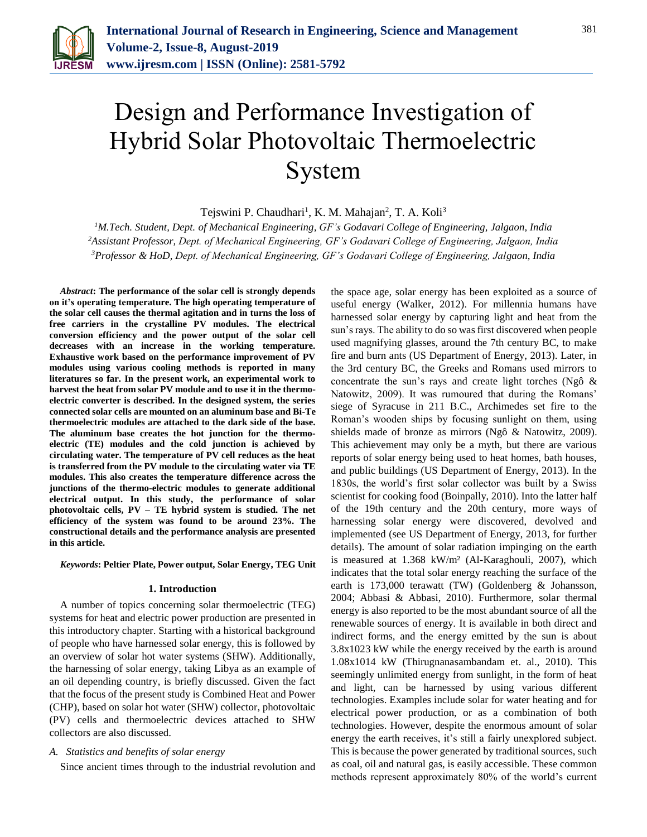

# Design and Performance Investigation of Hybrid Solar Photovoltaic Thermoelectric System

Tejswini P. Chaudhari<sup>1</sup>, K. M. Mahajan<sup>2</sup>, T. A. Koli<sup>3</sup>

*<sup>1</sup>M.Tech. Student, Dept. of Mechanical Engineering, GF's Godavari College of Engineering, Jalgaon, India <sup>2</sup>Assistant Professor, Dept. of Mechanical Engineering, GF's Godavari College of Engineering, Jalgaon, India <sup>3</sup>Professor & HoD, Dept. of Mechanical Engineering, GF's Godavari College of Engineering, Jalgaon, India*

*Abstract***: The performance of the solar cell is strongly depends on it's operating temperature. The high operating temperature of the solar cell causes the thermal agitation and in turns the loss of free carriers in the crystalline PV modules. The electrical conversion efficiency and the power output of the solar cell decreases with an increase in the working temperature. Exhaustive work based on the performance improvement of PV modules using various cooling methods is reported in many literatures so far. In the present work, an experimental work to harvest the heat from solar PV module and to use it in the thermoelectric converter is described. In the designed system, the series connected solar cells are mounted on an aluminum base and Bi-Te thermoelectric modules are attached to the dark side of the base. The aluminum base creates the hot junction for the thermoelectric (TE) modules and the cold junction is achieved by circulating water. The temperature of PV cell reduces as the heat is transferred from the PV module to the circulating water via TE modules. This also creates the temperature difference across the junctions of the thermo-electric modules to generate additional electrical output. In this study, the performance of solar photovoltaic cells, PV – TE hybrid system is studied. The net efficiency of the system was found to be around 23%. The constructional details and the performance analysis are presented in this article.**

#### *Keywords***: Peltier Plate, Power output, Solar Energy, TEG Unit**

#### **1. Introduction**

A number of topics concerning solar thermoelectric (TEG) systems for heat and electric power production are presented in this introductory chapter. Starting with a historical background of people who have harnessed solar energy, this is followed by an overview of solar hot water systems (SHW). Additionally, the harnessing of solar energy, taking Libya as an example of an oil depending country, is briefly discussed. Given the fact that the focus of the present study is Combined Heat and Power (CHP), based on solar hot water (SHW) collector, photovoltaic (PV) cells and thermoelectric devices attached to SHW collectors are also discussed.

*A. Statistics and benefits of solar energy* 

Since ancient times through to the industrial revolution and

the space age, solar energy has been exploited as a source of useful energy (Walker, 2012). For millennia humans have harnessed solar energy by capturing light and heat from the sun's rays. The ability to do so was first discovered when people used magnifying glasses, around the 7th century BC, to make fire and burn ants (US Department of Energy, 2013). Later, in the 3rd century BC, the Greeks and Romans used mirrors to concentrate the sun's rays and create light torches (Ngô & Natowitz, 2009). It was rumoured that during the Romans' siege of Syracuse in 211 B.C., Archimedes set fire to the Roman's wooden ships by focusing sunlight on them, using shields made of bronze as mirrors (Ngô & Natowitz, 2009). This achievement may only be a myth, but there are various reports of solar energy being used to heat homes, bath houses, and public buildings (US Department of Energy, 2013). In the 1830s, the world's first solar collector was built by a Swiss scientist for cooking food (Boinpally, 2010). Into the latter half of the 19th century and the 20th century, more ways of harnessing solar energy were discovered, devolved and implemented (see US Department of Energy, 2013, for further details). The amount of solar radiation impinging on the earth is measured at 1.368 kW/m² (Al-Karaghouli, 2007), which indicates that the total solar energy reaching the surface of the earth is 173,000 terawatt (TW) (Goldenberg & Johansson, 2004; Abbasi & Abbasi, 2010). Furthermore, solar thermal energy is also reported to be the most abundant source of all the renewable sources of energy. It is available in both direct and indirect forms, and the energy emitted by the sun is about 3.8x1023 kW while the energy received by the earth is around 1.08x1014 kW (Thirugnanasambandam et. al., 2010). This seemingly unlimited energy from sunlight, in the form of heat and light, can be harnessed by using various different technologies. Examples include solar for water heating and for electrical power production, or as a combination of both technologies. However, despite the enormous amount of solar energy the earth receives, it's still a fairly unexplored subject. This is because the power generated by traditional sources, such as coal, oil and natural gas, is easily accessible. These common methods represent approximately 80% of the world's current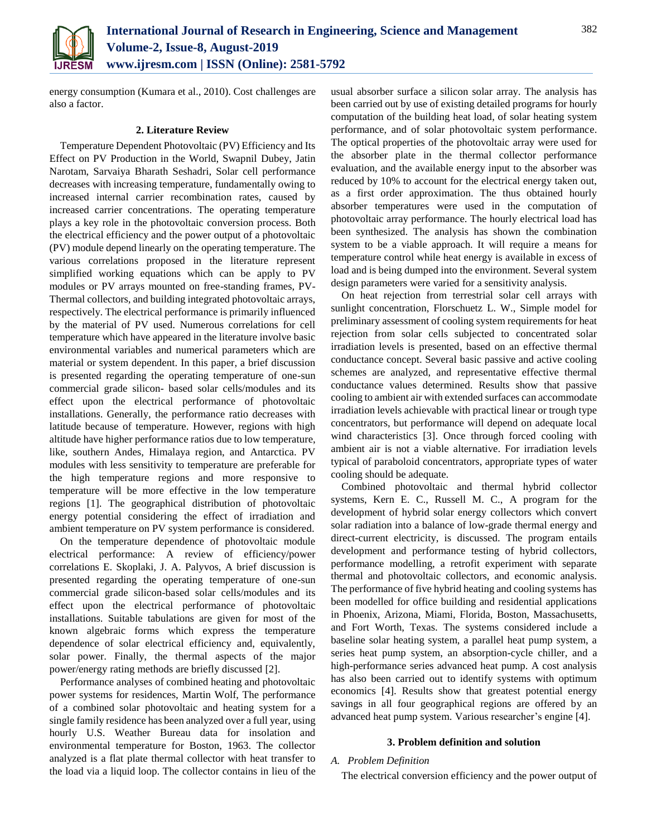

energy consumption (Kumara et al., 2010). Cost challenges are also a factor.

## **2. Literature Review**

Temperature Dependent Photovoltaic (PV) Efficiency and Its Effect on PV Production in the World, Swapnil Dubey, Jatin Narotam, Sarvaiya Bharath Seshadri, Solar cell performance decreases with increasing temperature, fundamentally owing to increased internal carrier recombination rates, caused by increased carrier concentrations. The operating temperature plays a key role in the photovoltaic conversion process. Both the electrical efficiency and the power output of a photovoltaic (PV) module depend linearly on the operating temperature. The various correlations proposed in the literature represent simplified working equations which can be apply to PV modules or PV arrays mounted on free-standing frames, PV-Thermal collectors, and building integrated photovoltaic arrays, respectively. The electrical performance is primarily influenced by the material of PV used. Numerous correlations for cell temperature which have appeared in the literature involve basic environmental variables and numerical parameters which are material or system dependent. In this paper, a brief discussion is presented regarding the operating temperature of one-sun commercial grade silicon- based solar cells/modules and its effect upon the electrical performance of photovoltaic installations. Generally, the performance ratio decreases with latitude because of temperature. However, regions with high altitude have higher performance ratios due to low temperature, like, southern Andes, Himalaya region, and Antarctica. PV modules with less sensitivity to temperature are preferable for the high temperature regions and more responsive to temperature will be more effective in the low temperature regions [1]. The geographical distribution of photovoltaic energy potential considering the effect of irradiation and ambient temperature on PV system performance is considered.

On the temperature dependence of photovoltaic module electrical performance: A review of efficiency/power correlations E. Skoplaki, J. A. Palyvos, A brief discussion is presented regarding the operating temperature of one-sun commercial grade silicon-based solar cells/modules and its effect upon the electrical performance of photovoltaic installations. Suitable tabulations are given for most of the known algebraic forms which express the temperature dependence of solar electrical efficiency and, equivalently, solar power. Finally, the thermal aspects of the major power/energy rating methods are briefly discussed [2].

Performance analyses of combined heating and photovoltaic power systems for residences, Martin Wolf, The performance of a combined solar photovoltaic and heating system for a single family residence has been analyzed over a full year, using hourly U.S. Weather Bureau data for insolation and environmental temperature for Boston, 1963. The collector analyzed is a flat plate thermal collector with heat transfer to the load via a liquid loop. The collector contains in lieu of the

usual absorber surface a silicon solar array. The analysis has been carried out by use of existing detailed programs for hourly computation of the building heat load, of solar heating system performance, and of solar photovoltaic system performance. The optical properties of the photovoltaic array were used for the absorber plate in the thermal collector performance evaluation, and the available energy input to the absorber was reduced by 10% to account for the electrical energy taken out, as a first order approximation. The thus obtained hourly absorber temperatures were used in the computation of photovoltaic array performance. The hourly electrical load has been synthesized. The analysis has shown the combination system to be a viable approach. It will require a means for temperature control while heat energy is available in excess of load and is being dumped into the environment. Several system design parameters were varied for a sensitivity analysis.

On heat rejection from terrestrial solar cell arrays with sunlight concentration, Florschuetz L. W., Simple model for preliminary assessment of cooling system requirements for heat rejection from solar cells subjected to concentrated solar irradiation levels is presented, based on an effective thermal conductance concept. Several basic passive and active cooling schemes are analyzed, and representative effective thermal conductance values determined. Results show that passive cooling to ambient air with extended surfaces can accommodate irradiation levels achievable with practical linear or trough type concentrators, but performance will depend on adequate local wind characteristics [3]. Once through forced cooling with ambient air is not a viable alternative. For irradiation levels typical of paraboloid concentrators, appropriate types of water cooling should be adequate.

Combined photovoltaic and thermal hybrid collector systems, Kern E. C., Russell M. C., A program for the development of hybrid solar energy collectors which convert solar radiation into a balance of low-grade thermal energy and direct-current electricity, is discussed. The program entails development and performance testing of hybrid collectors, performance modelling, a retrofit experiment with separate thermal and photovoltaic collectors, and economic analysis. The performance of five hybrid heating and cooling systems has been modelled for office building and residential applications in Phoenix, Arizona, Miami, Florida, Boston, Massachusetts, and Fort Worth, Texas. The systems considered include a baseline solar heating system, a parallel heat pump system, a series heat pump system, an absorption-cycle chiller, and a high-performance series advanced heat pump. A cost analysis has also been carried out to identify systems with optimum economics [4]. Results show that greatest potential energy savings in all four geographical regions are offered by an advanced heat pump system. Various researcher's engine [4].

### **3. Problem definition and solution**

## *A. Problem Definition*

The electrical conversion efficiency and the power output of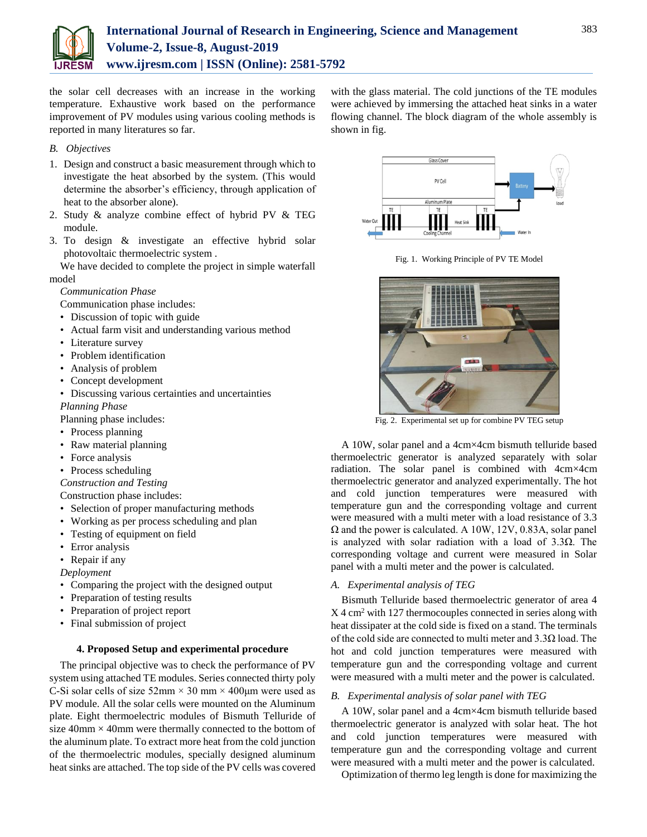

the solar cell decreases with an increase in the working temperature. Exhaustive work based on the performance improvement of PV modules using various cooling methods is reported in many literatures so far.

# *B. Objectives*

- 1. Design and construct a basic measurement through which to investigate the heat absorbed by the system. (This would determine the absorber's efficiency, through application of heat to the absorber alone).
- 2. Study & analyze combine effect of hybrid PV & TEG module.
- 3. To design & investigate an effective hybrid solar photovoltaic thermoelectric system .

We have decided to complete the project in simple waterfall model

*Communication Phase*

Communication phase includes:

- Discussion of topic with guide
- Actual farm visit and understanding various method
- Literature survey
- Problem identification
- Analysis of problem
- Concept development
- Discussing various certainties and uncertainties *Planning Phase*

Planning phase includes:

- Process planning
- Raw material planning
- Force analysis
- Process scheduling
- *Construction and Testing*

Construction phase includes:

- Selection of proper manufacturing methods
- Working as per process scheduling and plan
- Testing of equipment on field
- Error analysis
- Repair if any

*Deployment*

- Comparing the project with the designed output
- Preparation of testing results
- Preparation of project report
- Final submission of project

## **4. Proposed Setup and experimental procedure**

The principal objective was to check the performance of PV system using attached TE modules. Series connected thirty poly C-Si solar cells of size  $52 \text{mm} \times 30 \text{ mm} \times 400 \text{µm}$  were used as PV module. All the solar cells were mounted on the Aluminum plate. Eight thermoelectric modules of Bismuth Telluride of size  $40$ mm  $\times$   $40$ mm were thermally connected to the bottom of the aluminum plate. To extract more heat from the cold junction of the thermoelectric modules, specially designed aluminum heat sinks are attached. The top side of the PV cells was covered

with the glass material. The cold junctions of the TE modules were achieved by immersing the attached heat sinks in a water flowing channel. The block diagram of the whole assembly is shown in fig.



Fig. 1. Working Principle of PV TE Model



Fig. 2. Experimental set up for combine PV TEG setup

A 10W, solar panel and a 4cm×4cm bismuth telluride based thermoelectric generator is analyzed separately with solar radiation. The solar panel is combined with 4cm×4cm thermoelectric generator and analyzed experimentally. The hot and cold junction temperatures were measured with temperature gun and the corresponding voltage and current were measured with a multi meter with a load resistance of 3.3  $\Omega$  and the power is calculated. A 10W, 12V, 0.83A, solar panel is analyzed with solar radiation with a load of 3.3Ω. The corresponding voltage and current were measured in Solar panel with a multi meter and the power is calculated.

## *A. Experimental analysis of TEG*

Bismuth Telluride based thermoelectric generator of area 4 X 4 cm<sup>2</sup> with 127 thermocouples connected in series along with heat dissipater at the cold side is fixed on a stand. The terminals of the cold side are connected to multi meter and  $3.3\Omega$  load. The hot and cold junction temperatures were measured with temperature gun and the corresponding voltage and current were measured with a multi meter and the power is calculated.

## *B. Experimental analysis of solar panel with TEG*

A 10W, solar panel and a 4cm×4cm bismuth telluride based thermoelectric generator is analyzed with solar heat. The hot and cold junction temperatures were measured with temperature gun and the corresponding voltage and current were measured with a multi meter and the power is calculated.

Optimization of thermo leg length is done for maximizing the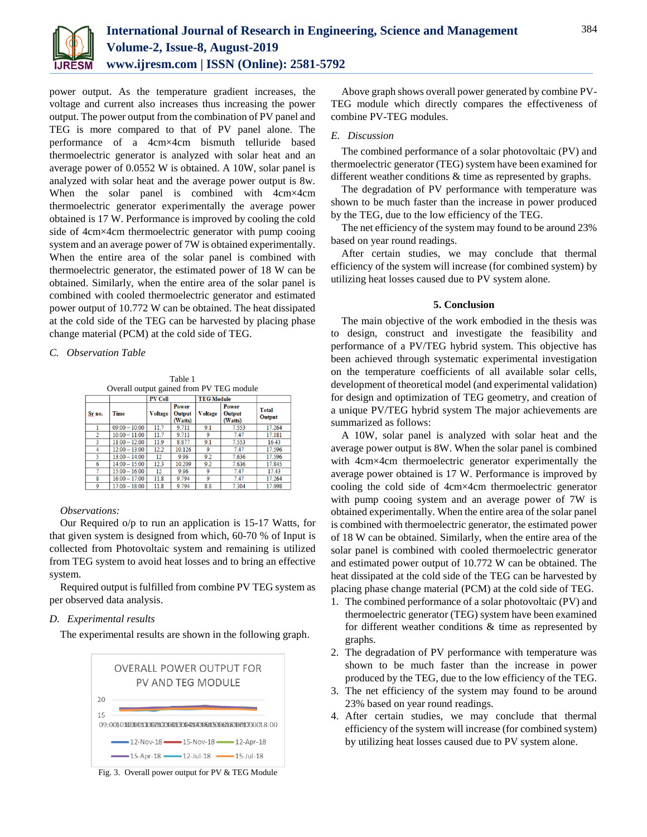

power output. As the temperature gradient increases, the voltage and current also increases thus increasing the power output. The power output from the combination of PV panel and TEG is more compared to that of PV panel alone. The performance of a 4cm×4cm bismuth telluride based thermoelectric generator is analyzed with solar heat and an average power of 0.0552 W is obtained. A 10W, solar panel is analyzed with solar heat and the average power output is 8w. When the solar panel is combined with 4cm×4cm thermoelectric generator experimentally the average power obtained is 17 W. Performance is improved by cooling the cold side of 4cm×4cm thermoelectric generator with pump cooing system and an average power of 7W is obtained experimentally. When the entire area of the solar panel is combined with thermoelectric generator, the estimated power of 18 W can be obtained. Similarly, when the entire area of the solar panel is combined with cooled thermoelectric generator and estimated power output of 10.772 W can be obtained. The heat dissipated at the cold side of the TEG can be harvested by placing phase change material (PCM) at the cold side of TEG.

## *C. Observation Table*

Table 1 Overall output gained from PV TEG module

|                |                 | <b>PV Cell</b> |                            | <b>TEG Module</b> |                            |                        |
|----------------|-----------------|----------------|----------------------------|-------------------|----------------------------|------------------------|
| Sr no.         | Time            | Voltage        | Power<br>Output<br>(Watts) | Voltage           | Power<br>Output<br>(Watts) | <b>Total</b><br>Output |
|                | $09:00 - 10:00$ | 11.7           | 9.711                      | 9.1               | 7.553                      | 17.264                 |
| $\overline{2}$ | $10:00 - 11:00$ | 11.7           | 9.711                      | 9                 | 7.47                       | 17.181                 |
| 3              | $11:00 - 12:00$ | 11.9           | 8.877                      | 9.1               | 7.553                      | 16.43                  |
| 4              | $12:00 - 13:00$ | 12.2           | 10.126                     | 9                 | 7.47                       | 17.596                 |
| 5              | $13:00 - 14:00$ | 12             | 9.96                       | 9.2               | 7.636                      | 17.596                 |
| 6              | $14:00 - 15:00$ | 12.3           | 10.209                     | 9.2               | 7.636                      | 17.845                 |
| 7              | $15:00 - 16:00$ | 12             | 9.96                       | 9                 | 7.47                       | 17.43                  |
| 8              | $16:00 - 17:00$ | 11.8           | 9.794                      | 9                 | 7.47                       | 17.264                 |
| 9              | $17:00 - 18:00$ | 11.8           | 9.794                      | 8.8               | 7.304                      | 17.098                 |

## *Observations:*

Our Required o/p to run an application is 15-17 Watts, for that given system is designed from which, 60-70 % of Input is collected from Photovoltaic system and remaining is utilized from TEG system to avoid heat losses and to bring an effective system.

Required output is fulfilled from combine PV TEG system as per observed data analysis.

#### *D. Experimental results*

The experimental results are shown in the following graph.



Fig. 3. Overall power output for PV & TEG Module

Above graph shows overall power generated by combine PV-TEG module which directly compares the effectiveness of combine PV-TEG modules.

## *E. Discussion*

The combined performance of a solar photovoltaic (PV) and thermoelectric generator (TEG) system have been examined for different weather conditions & time as represented by graphs.

The degradation of PV performance with temperature was shown to be much faster than the increase in power produced by the TEG, due to the low efficiency of the TEG.

The net efficiency of the system may found to be around 23% based on year round readings.

After certain studies, we may conclude that thermal efficiency of the system will increase (for combined system) by utilizing heat losses caused due to PV system alone.

#### **5. Conclusion**

The main objective of the work embodied in the thesis was to design, construct and investigate the feasibility and performance of a PV/TEG hybrid system. This objective has been achieved through systematic experimental investigation on the temperature coefficients of all available solar cells, development of theoretical model (and experimental validation) for design and optimization of TEG geometry, and creation of a unique PV/TEG hybrid system The major achievements are summarized as follows:

A 10W, solar panel is analyzed with solar heat and the average power output is 8W. When the solar panel is combined with 4cm×4cm thermoelectric generator experimentally the average power obtained is 17 W. Performance is improved by cooling the cold side of 4cm×4cm thermoelectric generator with pump cooing system and an average power of 7W is obtained experimentally. When the entire area of the solar panel is combined with thermoelectric generator, the estimated power of 18 W can be obtained. Similarly, when the entire area of the solar panel is combined with cooled thermoelectric generator and estimated power output of 10.772 W can be obtained. The heat dissipated at the cold side of the TEG can be harvested by placing phase change material (PCM) at the cold side of TEG.

- 1. The combined performance of a solar photovoltaic (PV) and thermoelectric generator (TEG) system have been examined for different weather conditions & time as represented by graphs.
- 2. The degradation of PV performance with temperature was shown to be much faster than the increase in power produced by the TEG, due to the low efficiency of the TEG.
- 3. The net efficiency of the system may found to be around 23% based on year round readings.
- 4. After certain studies, we may conclude that thermal efficiency of the system will increase (for combined system) by utilizing heat losses caused due to PV system alone.